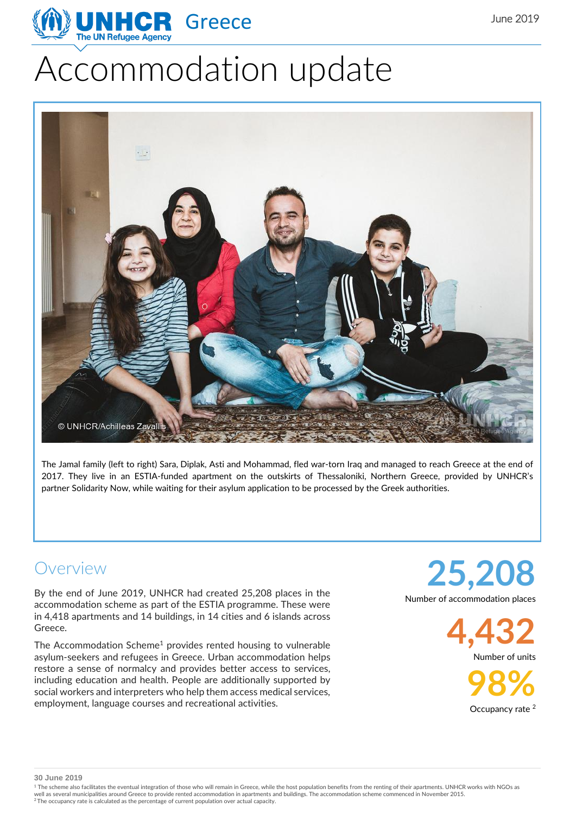

# Accommodation update



The Jamal family (left to right) Sara, Diplak, Asti and Mohammad, fled war-torn Iraq and managed to reach Greece at the end of 2017. They live in an ESTIA-funded apartment on the outskirts of Thessaloniki, Northern Greece, provided by UNHCR's partner Solidarity Now, while waiting for their asylum application to be processed by the Greek authorities.

#### Overview

By the end of June 2019, UNHCR had created 25,208 places in the accommodation scheme as part of the ESTIA programme. These were in 4,418 apartments and 14 buildings, in 14 cities and 6 islands across Greece.

The Accommodation Scheme<sup>1</sup> provides rented housing to vulnerable asylum-seekers and refugees in Greece. Urban accommodation helps restore a sense of normalcy and provides better access to services, including education and health. People are additionally supported by social workers and interpreters who help them access medical services, employment, language courses and recreational activities.

**25,208** Number of accommodation places

> **4,432** Number of units

> > **98%** Occupancy rate<sup>2</sup>

**30 June 2019**

<sup>1</sup> The scheme also facilitates the eventual integration of those who will remain in Greece, while the host population benefits from the renting of their apartments. UNHCR works with NGOs as well as several municipalities around Greece to provide rented accommodation in apartments and buildings. The accommodation scheme commenced in November 2015.<br><sup>2</sup> The occupancy rate is calculated as the percentage of curre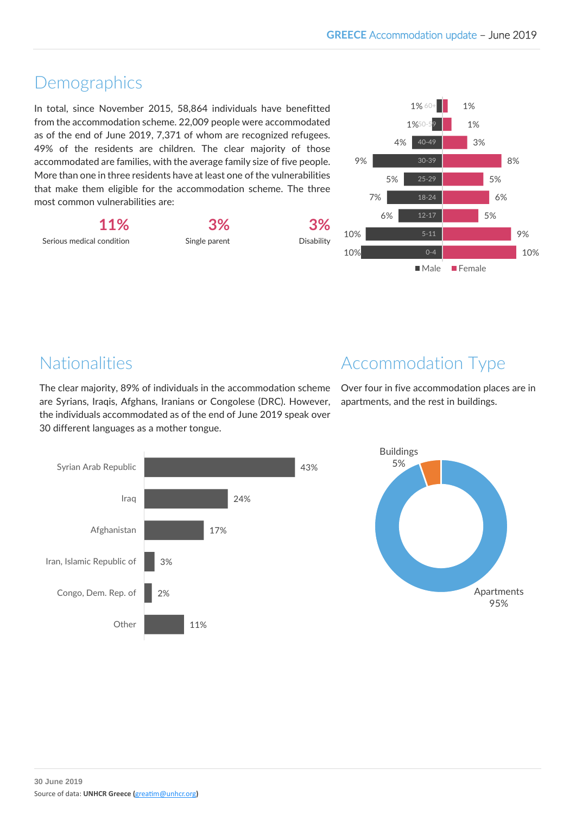# Demographics

In total, since November 2015, 58,864 individuals have benefitted from the accommodation scheme. 22,009 people were accommodated as of the end of June 2019, 7,371 of whom are recognized refugees. 49% of the residents are children. The clear majority of those accommodated are families, with the average family size of five people. More than one in three residents have at least one of the vulnerabilities that make them eligible for the accommodation scheme. The three most common vulnerabilities are:

**11%** Serious medical condition **3%**

Single parent

**3%** Disability



# Nationalities

The clear majority, 89% of individuals in the accommodation scheme are Syrians, Iraqis, Afghans, Iranians or Congolese (DRC). However, the individuals accommodated as of the end of June 2019 speak over 30 different languages as a mother tongue.



Over four in five accommodation places are in apartments, and the rest in buildings.



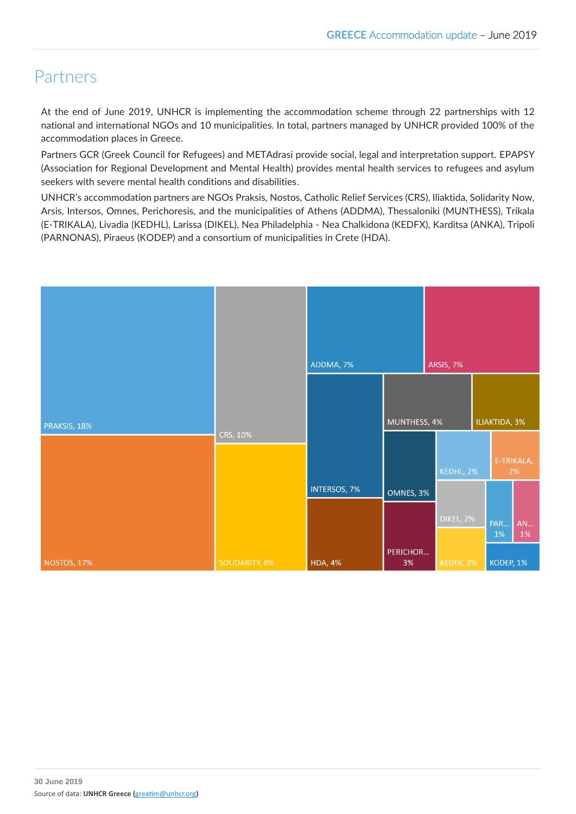# Partners

At the end of June 2019, UNHCR is implementing the accommodation scheme through 22 partnerships with 12 national and international NGOs and 10 municipalities. In total, partners managed by UNHCR provided 100% of the accommodation places in Greece.

Partners GCR (Greek Council for Refugees) and METAdrasi provide social, legal and interpretation support. EPAPSY (Association for Regional Development and Mental Health) provides mental health services to refugees and asylum seekers with severe mental health conditions and disabilities.

UNHCR's accommodation partners are NGOs Praksis, Nostos, Catholic Relief Services (CRS), Iliaktida, Solidarity Now, Arsis, Intersos, Omnes, Perichoresis, and the municipalities of Athens (ADDMA), Thessaloniki (MUNTHESS), Trikala (E-TRIKALA), Livadia (KEDHL), Larissa (DIKEL), Nea Philadelphia - Nea Chalkidona (KEDFX), Karditsa (ANKA), Tripoli (PARNONAS), Piraeus (KODEP) and a consortium of municipalities in Crete (HDA).